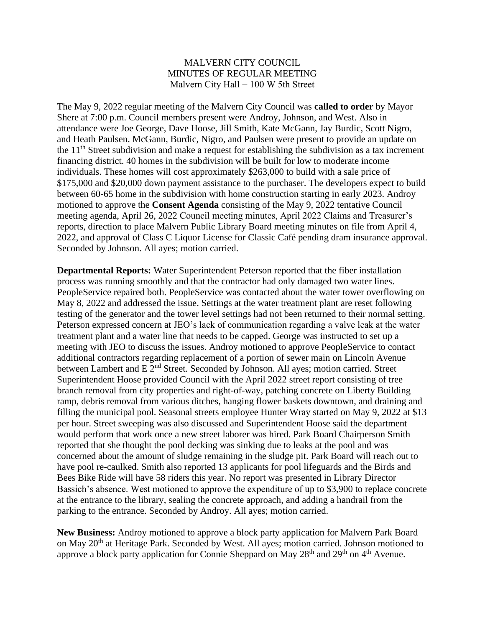## MALVERN CITY COUNCIL MINUTES OF REGULAR MEETING Malvern City Hall  $-100 \text{ W }$  5th Street

The May 9, 2022 regular meeting of the Malvern City Council was **called to order** by Mayor Shere at 7:00 p.m. Council members present were Androy, Johnson, and West. Also in attendance were Joe George, Dave Hoose, Jill Smith, Kate McGann, Jay Burdic, Scott Nigro, and Heath Paulsen. McGann, Burdic, Nigro, and Paulsen were present to provide an update on the  $11<sup>th</sup>$  Street subdivision and make a request for establishing the subdivision as a tax increment financing district. 40 homes in the subdivision will be built for low to moderate income individuals. These homes will cost approximately \$263,000 to build with a sale price of \$175,000 and \$20,000 down payment assistance to the purchaser. The developers expect to build between 60-65 home in the subdivision with home construction starting in early 2023. Androy motioned to approve the **Consent Agenda** consisting of the May 9, 2022 tentative Council meeting agenda, April 26, 2022 Council meeting minutes, April 2022 Claims and Treasurer's reports, direction to place Malvern Public Library Board meeting minutes on file from April 4, 2022, and approval of Class C Liquor License for Classic Café pending dram insurance approval. Seconded by Johnson. All ayes; motion carried.

**Departmental Reports:** Water Superintendent Peterson reported that the fiber installation process was running smoothly and that the contractor had only damaged two water lines. PeopleService repaired both. PeopleService was contacted about the water tower overflowing on May 8, 2022 and addressed the issue. Settings at the water treatment plant are reset following testing of the generator and the tower level settings had not been returned to their normal setting. Peterson expressed concern at JEO's lack of communication regarding a valve leak at the water treatment plant and a water line that needs to be capped. George was instructed to set up a meeting with JEO to discuss the issues. Androy motioned to approve PeopleService to contact additional contractors regarding replacement of a portion of sewer main on Lincoln Avenue between Lambert and E 2<sup>nd</sup> Street. Seconded by Johnson. All ayes; motion carried. Street Superintendent Hoose provided Council with the April 2022 street report consisting of tree branch removal from city properties and right-of-way, patching concrete on Liberty Building ramp, debris removal from various ditches, hanging flower baskets downtown, and draining and filling the municipal pool. Seasonal streets employee Hunter Wray started on May 9, 2022 at \$13 per hour. Street sweeping was also discussed and Superintendent Hoose said the department would perform that work once a new street laborer was hired. Park Board Chairperson Smith reported that she thought the pool decking was sinking due to leaks at the pool and was concerned about the amount of sludge remaining in the sludge pit. Park Board will reach out to have pool re-caulked. Smith also reported 13 applicants for pool lifeguards and the Birds and Bees Bike Ride will have 58 riders this year. No report was presented in Library Director Bassich's absence. West motioned to approve the expenditure of up to \$3,900 to replace concrete at the entrance to the library, sealing the concrete approach, and adding a handrail from the parking to the entrance. Seconded by Androy. All ayes; motion carried.

**New Business:** Androy motioned to approve a block party application for Malvern Park Board on May 20<sup>th</sup> at Heritage Park. Seconded by West. All ayes; motion carried. Johnson motioned to approve a block party application for Connie Sheppard on May 28<sup>th</sup> and 29<sup>th</sup> on 4<sup>th</sup> Avenue.